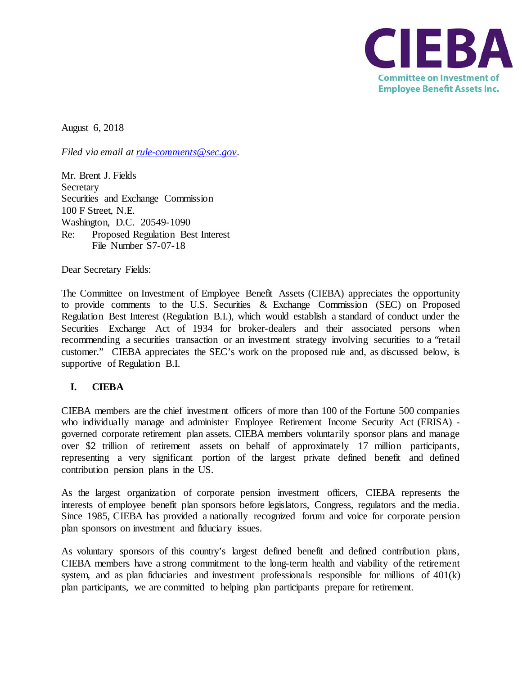

August 6, 2018

*Filed via email at [rule-comments@sec.gov.](mailto:rule-comments@sec.gov)* 

Mr. Brent J. Fields **Secretary** Securities and Exchange Commission 100 F Street, N.E. Washington, D.C. 20549-1090 Re: Proposed Regulation Best Interest File Number S7-07-18

Dear Secretary Fields:

The Committee on Investment of Employee Benefit Assets (CIEBA) appreciates the opportunity to provide comments to the U.S. Securities & Exchange Commission (SEC) on Proposed Regulation Best Interest (Regulation B.I.), which would establish a standard of conduct under the Securities Exchange Act of 1934 for broker-dealers and their associated persons when recommending a securities transaction or an investment strategy involving securities to a "retail customer." CIEBA appreciates the SEC's work on the proposed rule and, as discussed below, is supportive of Regulation B.I.

## **I. CIEBA**

CIEBA members are the chief investment officers of more than 100 of the Fortune 500 companies who individually manage and administer Employee Retirement Income Security Act (ERISA) governed corporate retirement plan assets. CIEBA members voluntarily sponsor plans and manage over \$2 trillion of retirement assets on behalf of approximately 17 million participants, representing a very significant portion of the largest private defined benefit and defined contribution pension plans in the US.

As the largest organization of corporate pension investment officers, CIEBA represents the interests of employee benefit plan sponsors before legislators, Congress, regulators and the media. Since 1985, CIEBA has provided a nationally recognized forum and voice for corporate pension plan sponsors on investment and fiduciary issues.

As voluntary sponsors of this country's largest defined benefit and defined contribution plans, CIEBA members have a strong commitment to the long-term health and viability of the retirement system, and as plan fiduciaries and investment professionals responsible for millions of  $401(k)$ plan participants, we are committed to helping plan participants prepare for retirement.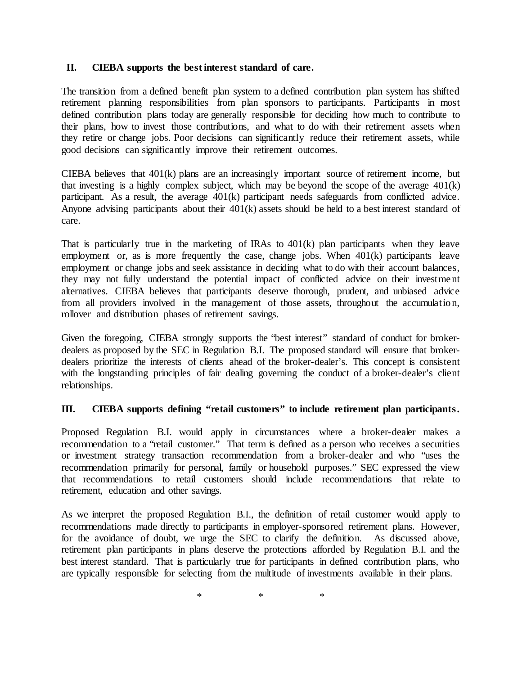## **II. CIEBA supports the best interest standard of care.**

The transition from a defined benefit plan system to a defined contribution plan system has shifted retirement planning responsibilities from plan sponsors to participants. Participants in most defined contribution plans today are generally responsible for deciding how much to contribute to their plans, how to invest those contributions, and what to do with their retirement assets when they retire or change jobs. Poor decisions can significantly reduce their retirement assets, while good decisions can significantly improve their retirement outcomes.

CIEBA believes that 401(k) plans are an increasingly important source of retirement income, but that investing is a highly complex subject, which may be beyond the scope of the average  $401(k)$ participant. As a result, the average 401(k) participant needs safeguards from conflicted advice. Anyone advising participants about their 401(k) assets should be held to a best interest standard of care.

That is particularly true in the marketing of IRAs to  $401(k)$  plan participants when they leave employment or, as is more frequently the case, change jobs. When 401(k) participants leave employment or change jobs and seek assistance in deciding what to do with their account balances, they may not fully understand the potential impact of conflicted advice on their investment alternatives. CIEBA believes that participants deserve thorough, prudent, and unbiased advice from all providers involved in the management of those assets, throughout the accumulatio n, rollover and distribution phases of retirement savings.

Given the foregoing, CIEBA strongly supports the "best interest" standard of conduct for brokerdealers as proposed by the SEC in Regulation B.I. The proposed standard will ensure that brokerdealers prioritize the interests of clients ahead of the broker-dealer's. This concept is consistent with the longstanding principles of fair dealing governing the conduct of a broker-dealer's client relationships.

## **III. CIEBA supports defining "retail customers" to include retirement plan participants.**

Proposed Regulation B.I. would apply in circumstances where a broker-dealer makes a recommendation to a "retail customer." That term is defined as a person who receives a securities or investment strategy transaction recommendation from a broker-dealer and who "uses the recommendation primarily for personal, family or household purposes." SEC expressed the view that recommendations to retail customers should include recommendations that relate to retirement, education and other savings.

As we interpret the proposed Regulation B.I., the definition of retail customer would apply to recommendations made directly to participants in employer-sponsored retirement plans. However, for the avoidance of doubt, we urge the SEC to clarify the definition. As discussed above, retirement plan participants in plans deserve the protections afforded by Regulation B.I. and the best interest standard. That is particularly true for participants in defined contribution plans, who are typically responsible for selecting from the multitude of investments available in their plans.

 $*$  \*  $*$  \*